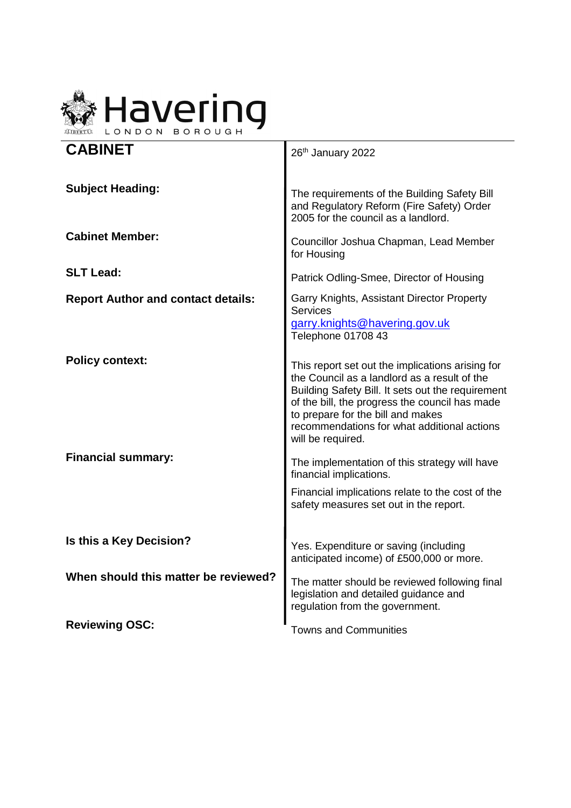

| <b>CABINET</b>                            | 26th January 2022                                                                                                                                                                                                                                                                                                |
|-------------------------------------------|------------------------------------------------------------------------------------------------------------------------------------------------------------------------------------------------------------------------------------------------------------------------------------------------------------------|
| <b>Subject Heading:</b>                   | The requirements of the Building Safety Bill<br>and Regulatory Reform (Fire Safety) Order<br>2005 for the council as a landlord.                                                                                                                                                                                 |
| <b>Cabinet Member:</b>                    | Councillor Joshua Chapman, Lead Member<br>for Housing                                                                                                                                                                                                                                                            |
| <b>SLT Lead:</b>                          | Patrick Odling-Smee, Director of Housing                                                                                                                                                                                                                                                                         |
| <b>Report Author and contact details:</b> | Garry Knights, Assistant Director Property<br>Services<br>garry.knights@havering.gov.uk<br>Telephone 01708 43                                                                                                                                                                                                    |
| <b>Policy context:</b>                    | This report set out the implications arising for<br>the Council as a landlord as a result of the<br>Building Safety Bill. It sets out the requirement<br>of the bill, the progress the council has made<br>to prepare for the bill and makes<br>recommendations for what additional actions<br>will be required. |
| <b>Financial summary:</b>                 | The implementation of this strategy will have<br>financial implications.                                                                                                                                                                                                                                         |
|                                           | Financial implications relate to the cost of the<br>safety measures set out in the report.                                                                                                                                                                                                                       |
| Is this a Key Decision?                   | Yes. Expenditure or saving (including<br>anticipated income) of £500,000 or more.                                                                                                                                                                                                                                |
| When should this matter be reviewed?      | The matter should be reviewed following final<br>legislation and detailed guidance and<br>regulation from the government.                                                                                                                                                                                        |
| <b>Reviewing OSC:</b>                     | <b>Towns and Communities</b>                                                                                                                                                                                                                                                                                     |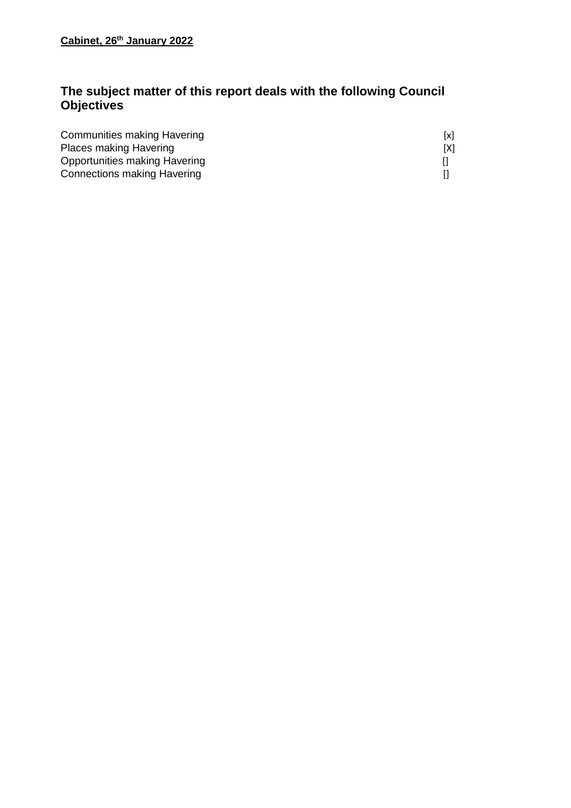# **The subject matter of this report deals with the following Council Objectives**

| Communities making Havering        | [x] |
|------------------------------------|-----|
| <b>Places making Havering</b>      | [X] |
| Opportunities making Havering      |     |
| <b>Connections making Havering</b> |     |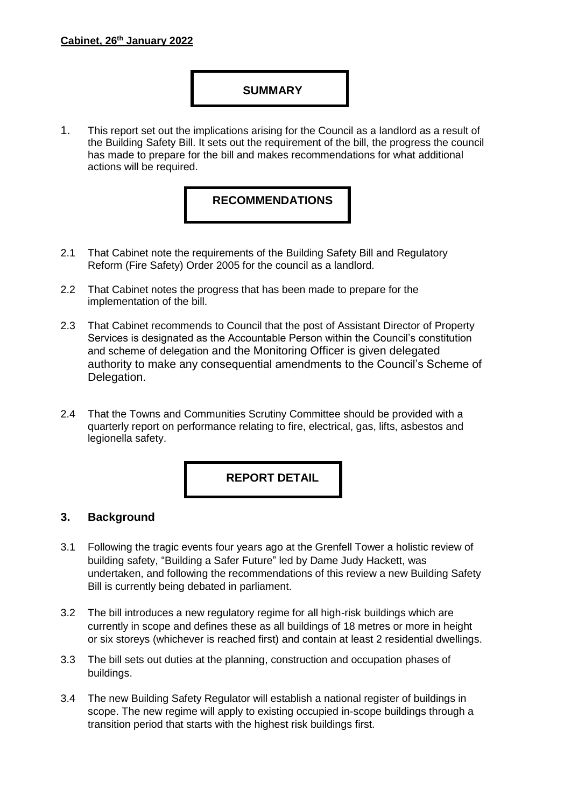## **SUMMARY**

1. This report set out the implications arising for the Council as a landlord as a result of the Building Safety Bill. It sets out the requirement of the bill, the progress the council has made to prepare for the bill and makes recommendations for what additional actions will be required.

## **RECOMMENDATIONS**

- 2.1 That Cabinet note the requirements of the Building Safety Bill and Regulatory Reform (Fire Safety) Order 2005 for the council as a landlord.
- 2.2 That Cabinet notes the progress that has been made to prepare for the implementation of the bill.
- 2.3 That Cabinet recommends to Council that the post of Assistant Director of Property Services is designated as the Accountable Person within the Council's constitution and scheme of delegation and the Monitoring Officer is given delegated authority to make any consequential amendments to the Council's Scheme of Delegation.
- 2.4 That the Towns and Communities Scrutiny Committee should be provided with a quarterly report on performance relating to fire, electrical, gas, lifts, asbestos and legionella safety.

## **REPORT DETAIL**

#### **3. Background**

- 3.1 Following the tragic events four years ago at the Grenfell Tower a holistic review of building safety, "Building a Safer Future" led by Dame Judy Hackett, was undertaken, and following the recommendations of this review a new Building Safety Bill is currently being debated in parliament.
- 3.2 The bill introduces a new regulatory regime for all high-risk buildings which are currently in scope and defines these as all buildings of 18 metres or more in height or six storeys (whichever is reached first) and contain at least 2 residential dwellings.
- 3.3 The bill sets out duties at the planning, construction and occupation phases of buildings.
- 3.4 The new Building Safety Regulator will establish a national register of buildings in scope. The new regime will apply to existing occupied in-scope buildings through a transition period that starts with the highest risk buildings first.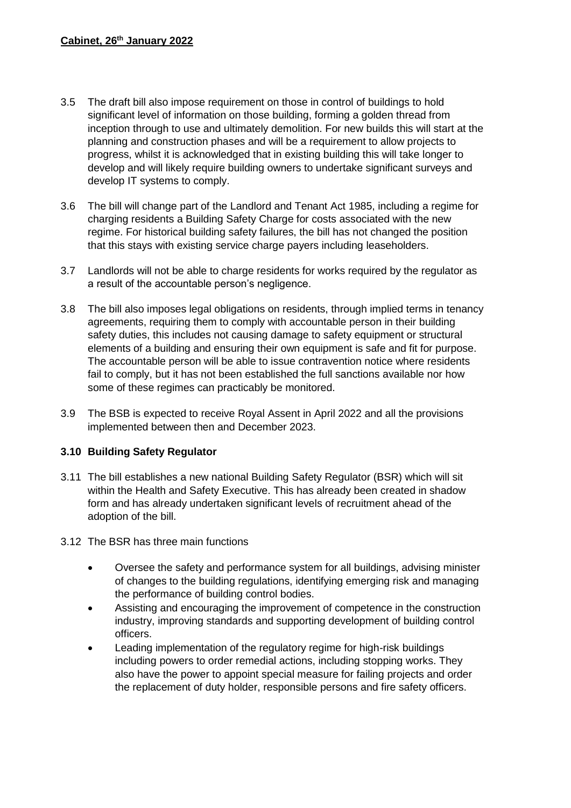- 3.5 The draft bill also impose requirement on those in control of buildings to hold significant level of information on those building, forming a golden thread from inception through to use and ultimately demolition. For new builds this will start at the planning and construction phases and will be a requirement to allow projects to progress, whilst it is acknowledged that in existing building this will take longer to develop and will likely require building owners to undertake significant surveys and develop IT systems to comply.
- 3.6 The bill will change part of the Landlord and Tenant Act 1985, including a regime for charging residents a Building Safety Charge for costs associated with the new regime. For historical building safety failures, the bill has not changed the position that this stays with existing service charge payers including leaseholders.
- 3.7 Landlords will not be able to charge residents for works required by the regulator as a result of the accountable person's negligence.
- 3.8 The bill also imposes legal obligations on residents, through implied terms in tenancy agreements, requiring them to comply with accountable person in their building safety duties, this includes not causing damage to safety equipment or structural elements of a building and ensuring their own equipment is safe and fit for purpose. The accountable person will be able to issue contravention notice where residents fail to comply, but it has not been established the full sanctions available nor how some of these regimes can practicably be monitored.
- 3.9 The BSB is expected to receive Royal Assent in April 2022 and all the provisions implemented between then and December 2023.

## **3.10 Building Safety Regulator**

- 3.11 The bill establishes a new national Building Safety Regulator (BSR) which will sit within the Health and Safety Executive. This has already been created in shadow form and has already undertaken significant levels of recruitment ahead of the adoption of the bill.
- 3.12 The BSR has three main functions
	- Oversee the safety and performance system for all buildings, advising minister of changes to the building regulations, identifying emerging risk and managing the performance of building control bodies.
	- Assisting and encouraging the improvement of competence in the construction industry, improving standards and supporting development of building control officers.
	- Leading implementation of the regulatory regime for high-risk buildings including powers to order remedial actions, including stopping works. They also have the power to appoint special measure for failing projects and order the replacement of duty holder, responsible persons and fire safety officers.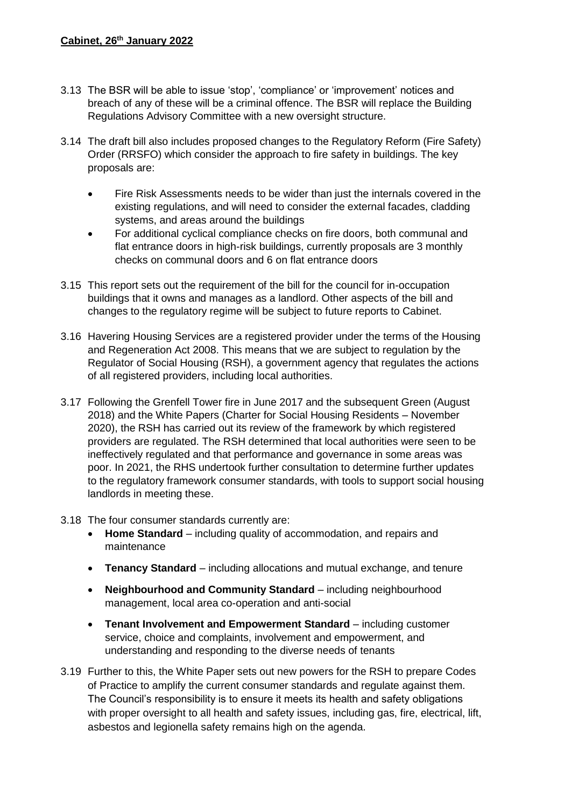- 3.13 The BSR will be able to issue 'stop', 'compliance' or 'improvement' notices and breach of any of these will be a criminal offence. The BSR will replace the Building Regulations Advisory Committee with a new oversight structure.
- 3.14 The draft bill also includes proposed changes to the Regulatory Reform (Fire Safety) Order (RRSFO) which consider the approach to fire safety in buildings. The key proposals are:
	- Fire Risk Assessments needs to be wider than just the internals covered in the existing regulations, and will need to consider the external facades, cladding systems, and areas around the buildings
	- For additional cyclical compliance checks on fire doors, both communal and flat entrance doors in high-risk buildings, currently proposals are 3 monthly checks on communal doors and 6 on flat entrance doors
- 3.15 This report sets out the requirement of the bill for the council for in-occupation buildings that it owns and manages as a landlord. Other aspects of the bill and changes to the regulatory regime will be subject to future reports to Cabinet.
- 3.16 Havering Housing Services are a registered provider under the terms of the Housing and Regeneration Act 2008. This means that we are subject to regulation by the Regulator of Social Housing (RSH), a government agency that regulates the actions of all registered providers, including local authorities.
- 3.17 Following the Grenfell Tower fire in June 2017 and the subsequent Green (August 2018) and the White Papers (Charter for Social Housing Residents – November 2020), the RSH has carried out its review of the framework by which registered providers are regulated. The RSH determined that local authorities were seen to be ineffectively regulated and that performance and governance in some areas was poor. In 2021, the RHS undertook further consultation to determine further updates to the regulatory framework consumer standards, with tools to support social housing landlords in meeting these.
- 3.18 The four consumer standards currently are:
	- **Home Standard** including quality of accommodation, and repairs and maintenance
	- **Tenancy Standard** including allocations and mutual exchange, and tenure
	- **Neighbourhood and Community Standard** including neighbourhood management, local area co-operation and anti-social
	- **Tenant Involvement and Empowerment Standard** including customer service, choice and complaints, involvement and empowerment, and understanding and responding to the diverse needs of tenants
- 3.19 Further to this, the White Paper sets out new powers for the RSH to prepare Codes of Practice to amplify the current consumer standards and regulate against them. The Council's responsibility is to ensure it meets its health and safety obligations with proper oversight to all health and safety issues, including gas, fire, electrical, lift, asbestos and legionella safety remains high on the agenda.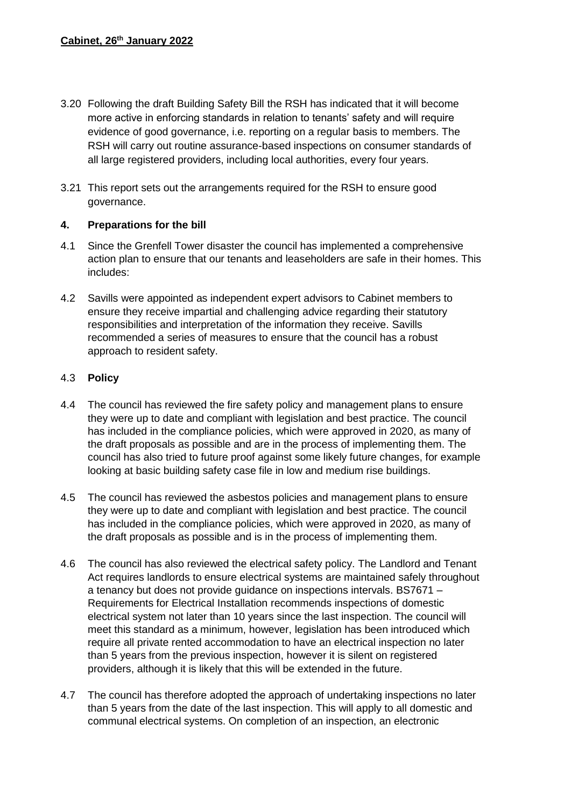- 3.20 Following the draft Building Safety Bill the RSH has indicated that it will become more active in enforcing standards in relation to tenants' safety and will require evidence of good governance, i.e. reporting on a regular basis to members. The RSH will carry out routine assurance-based inspections on consumer standards of all large registered providers, including local authorities, every four years.
- 3.21 This report sets out the arrangements required for the RSH to ensure good governance.

#### **4. Preparations for the bill**

- 4.1 Since the Grenfell Tower disaster the council has implemented a comprehensive action plan to ensure that our tenants and leaseholders are safe in their homes. This includes:
- 4.2 Savills were appointed as independent expert advisors to Cabinet members to ensure they receive impartial and challenging advice regarding their statutory responsibilities and interpretation of the information they receive. Savills recommended a series of measures to ensure that the council has a robust approach to resident safety.

#### 4.3 **Policy**

- 4.4 The council has reviewed the fire safety policy and management plans to ensure they were up to date and compliant with legislation and best practice. The council has included in the compliance policies, which were approved in 2020, as many of the draft proposals as possible and are in the process of implementing them. The council has also tried to future proof against some likely future changes, for example looking at basic building safety case file in low and medium rise buildings.
- 4.5 The council has reviewed the asbestos policies and management plans to ensure they were up to date and compliant with legislation and best practice. The council has included in the compliance policies, which were approved in 2020, as many of the draft proposals as possible and is in the process of implementing them.
- 4.6 The council has also reviewed the electrical safety policy. The Landlord and Tenant Act requires landlords to ensure electrical systems are maintained safely throughout a tenancy but does not provide guidance on inspections intervals. BS7671 – Requirements for Electrical Installation recommends inspections of domestic electrical system not later than 10 years since the last inspection. The council will meet this standard as a minimum, however, legislation has been introduced which require all private rented accommodation to have an electrical inspection no later than 5 years from the previous inspection, however it is silent on registered providers, although it is likely that this will be extended in the future.
- 4.7 The council has therefore adopted the approach of undertaking inspections no later than 5 years from the date of the last inspection. This will apply to all domestic and communal electrical systems. On completion of an inspection, an electronic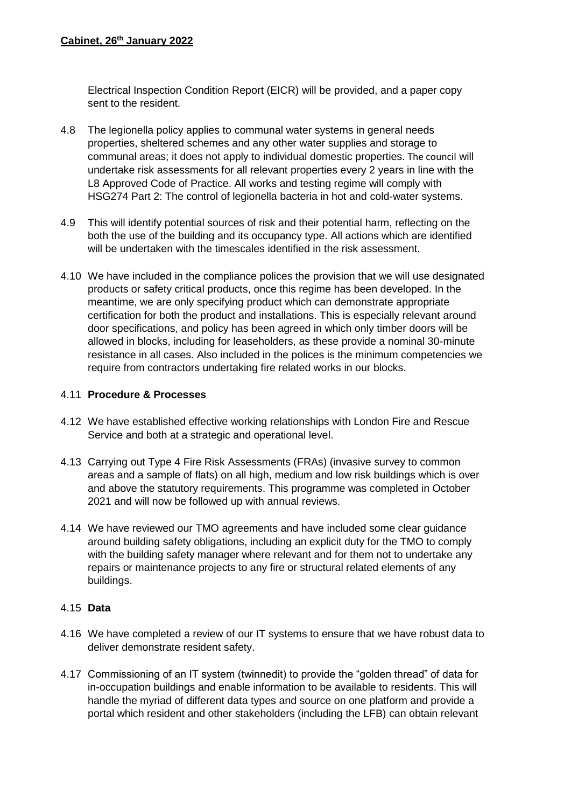Electrical Inspection Condition Report (EICR) will be provided, and a paper copy sent to the resident.

- 4.8 The legionella policy applies to communal water systems in general needs properties, sheltered schemes and any other water supplies and storage to communal areas; it does not apply to individual domestic properties. The council will undertake risk assessments for all relevant properties every 2 years in line with the L8 Approved Code of Practice. All works and testing regime will comply with HSG274 Part 2: The control of legionella bacteria in hot and cold-water systems.
- 4.9 This will identify potential sources of risk and their potential harm, reflecting on the both the use of the building and its occupancy type. All actions which are identified will be undertaken with the timescales identified in the risk assessment.
- 4.10 We have included in the compliance polices the provision that we will use designated products or safety critical products, once this regime has been developed. In the meantime, we are only specifying product which can demonstrate appropriate certification for both the product and installations. This is especially relevant around door specifications, and policy has been agreed in which only timber doors will be allowed in blocks, including for leaseholders, as these provide a nominal 30-minute resistance in all cases. Also included in the polices is the minimum competencies we require from contractors undertaking fire related works in our blocks.

#### 4.11 **Procedure & Processes**

- 4.12 We have established effective working relationships with London Fire and Rescue Service and both at a strategic and operational level.
- 4.13 Carrying out Type 4 Fire Risk Assessments (FRAs) (invasive survey to common areas and a sample of flats) on all high, medium and low risk buildings which is over and above the statutory requirements. This programme was completed in October 2021 and will now be followed up with annual reviews.
- 4.14 We have reviewed our TMO agreements and have included some clear guidance around building safety obligations, including an explicit duty for the TMO to comply with the building safety manager where relevant and for them not to undertake any repairs or maintenance projects to any fire or structural related elements of any buildings.

#### 4.15 **Data**

- 4.16 We have completed a review of our IT systems to ensure that we have robust data to deliver demonstrate resident safety.
- 4.17 Commissioning of an IT system (twinnedit) to provide the "golden thread" of data for in-occupation buildings and enable information to be available to residents. This will handle the myriad of different data types and source on one platform and provide a portal which resident and other stakeholders (including the LFB) can obtain relevant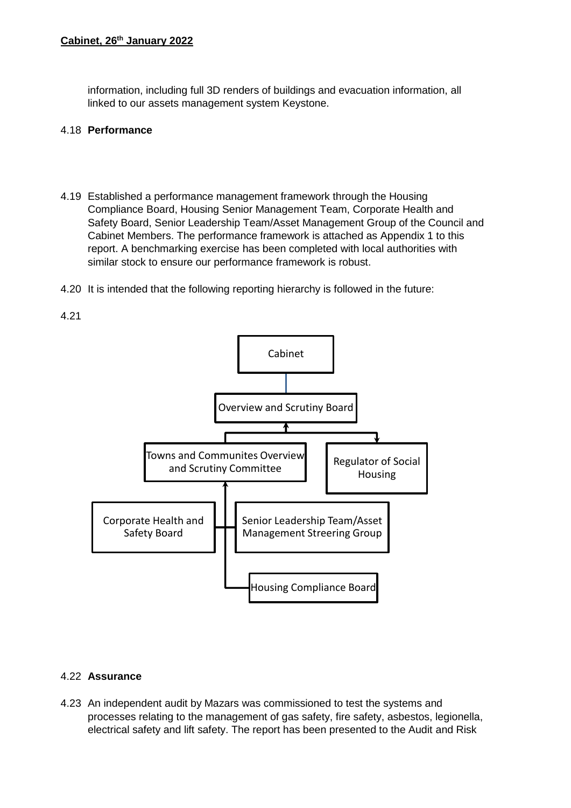information, including full 3D renders of buildings and evacuation information, all linked to our assets management system Keystone.

#### 4.18 **Performance**

- 4.19 Established a performance management framework through the Housing Compliance Board, Housing Senior Management Team, Corporate Health and Safety Board, Senior Leadership Team/Asset Management Group of the Council and Cabinet Members. The performance framework is attached as Appendix 1 to this report. A benchmarking exercise has been completed with local authorities with similar stock to ensure our performance framework is robust.
- 4.20 It is intended that the following reporting hierarchy is followed in the future:



## 4.22 **Assurance**

4.23 An independent audit by Mazars was commissioned to test the systems and processes relating to the management of gas safety, fire safety, asbestos, legionella, electrical safety and lift safety. The report has been presented to the Audit and Risk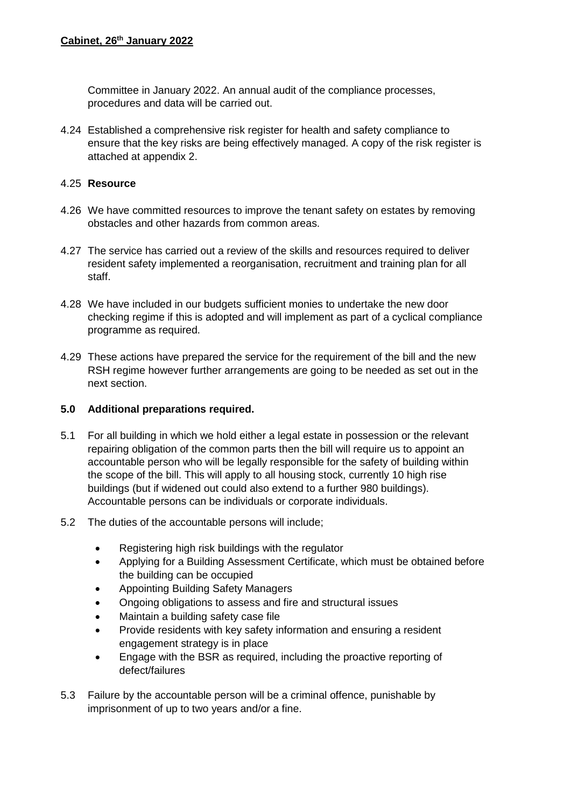Committee in January 2022. An annual audit of the compliance processes, procedures and data will be carried out.

4.24 Established a comprehensive risk register for health and safety compliance to ensure that the key risks are being effectively managed. A copy of the risk register is attached at appendix 2.

#### 4.25 **Resource**

- 4.26 We have committed resources to improve the tenant safety on estates by removing obstacles and other hazards from common areas.
- 4.27 The service has carried out a review of the skills and resources required to deliver resident safety implemented a reorganisation, recruitment and training plan for all staff.
- 4.28 We have included in our budgets sufficient monies to undertake the new door checking regime if this is adopted and will implement as part of a cyclical compliance programme as required.
- 4.29 These actions have prepared the service for the requirement of the bill and the new RSH regime however further arrangements are going to be needed as set out in the next section.

#### **5.0 Additional preparations required.**

- 5.1 For all building in which we hold either a legal estate in possession or the relevant repairing obligation of the common parts then the bill will require us to appoint an accountable person who will be legally responsible for the safety of building within the scope of the bill. This will apply to all housing stock, currently 10 high rise buildings (but if widened out could also extend to a further 980 buildings). Accountable persons can be individuals or corporate individuals.
- 5.2 The duties of the accountable persons will include;
	- Registering high risk buildings with the regulator
	- Applying for a Building Assessment Certificate, which must be obtained before the building can be occupied
	- Appointing Building Safety Managers
	- Ongoing obligations to assess and fire and structural issues
	- Maintain a building safety case file
	- Provide residents with key safety information and ensuring a resident engagement strategy is in place
	- Engage with the BSR as required, including the proactive reporting of defect/failures
- 5.3 Failure by the accountable person will be a criminal offence, punishable by imprisonment of up to two years and/or a fine.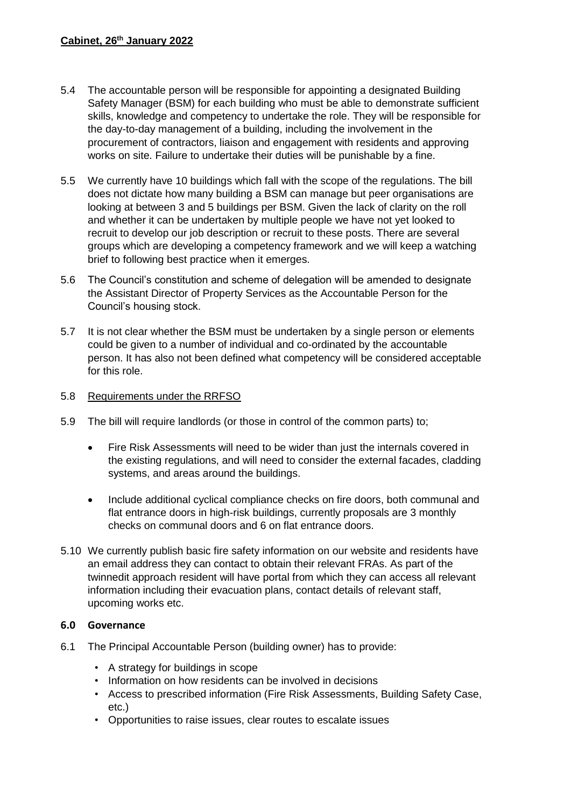- 5.4 The accountable person will be responsible for appointing a designated Building Safety Manager (BSM) for each building who must be able to demonstrate sufficient skills, knowledge and competency to undertake the role. They will be responsible for the day-to-day management of a building, including the involvement in the procurement of contractors, liaison and engagement with residents and approving works on site. Failure to undertake their duties will be punishable by a fine.
- 5.5 We currently have 10 buildings which fall with the scope of the regulations. The bill does not dictate how many building a BSM can manage but peer organisations are looking at between 3 and 5 buildings per BSM. Given the lack of clarity on the roll and whether it can be undertaken by multiple people we have not yet looked to recruit to develop our job description or recruit to these posts. There are several groups which are developing a competency framework and we will keep a watching brief to following best practice when it emerges.
- 5.6 The Council's constitution and scheme of delegation will be amended to designate the Assistant Director of Property Services as the Accountable Person for the Council's housing stock.
- 5.7 It is not clear whether the BSM must be undertaken by a single person or elements could be given to a number of individual and co-ordinated by the accountable person. It has also not been defined what competency will be considered acceptable for this role.

#### 5.8 Requirements under the RRFSO

- 5.9 The bill will require landlords (or those in control of the common parts) to;
	- Fire Risk Assessments will need to be wider than just the internals covered in the existing regulations, and will need to consider the external facades, cladding systems, and areas around the buildings.
	- Include additional cyclical compliance checks on fire doors, both communal and flat entrance doors in high-risk buildings, currently proposals are 3 monthly checks on communal doors and 6 on flat entrance doors.
- 5.10 We currently publish basic fire safety information on our website and residents have an email address they can contact to obtain their relevant FRAs. As part of the twinnedit approach resident will have portal from which they can access all relevant information including their evacuation plans, contact details of relevant staff, upcoming works etc.

#### **6.0 Governance**

- 6.1 The Principal Accountable Person (building owner) has to provide:
	- A strategy for buildings in scope
	- Information on how residents can be involved in decisions
	- Access to prescribed information (Fire Risk Assessments, Building Safety Case, etc.)
	- Opportunities to raise issues, clear routes to escalate issues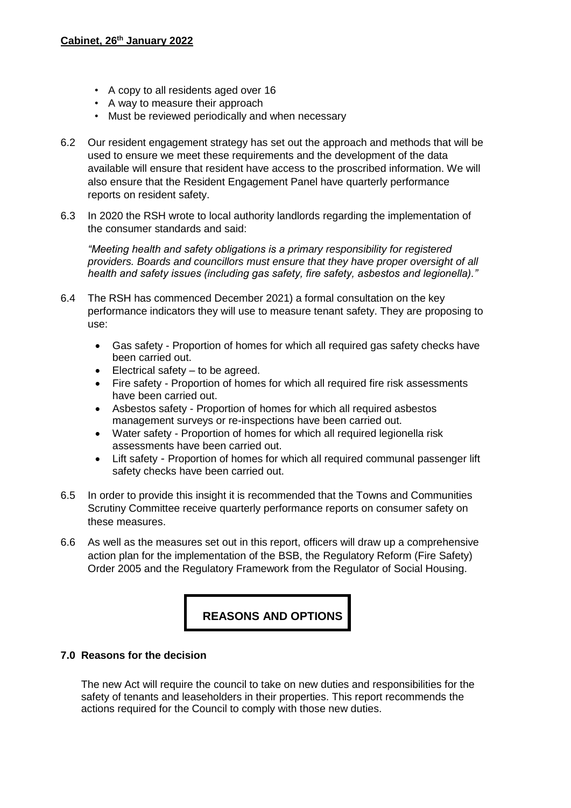- A copy to all residents aged over 16
- A way to measure their approach
- Must be reviewed periodically and when necessary
- 6.2 Our resident engagement strategy has set out the approach and methods that will be used to ensure we meet these requirements and the development of the data available will ensure that resident have access to the proscribed information. We will also ensure that the Resident Engagement Panel have quarterly performance reports on resident safety.
- 6.3 In 2020 the RSH wrote to local authority landlords regarding the implementation of the consumer standards and said:

*"Meeting health and safety obligations is a primary responsibility for registered providers. Boards and councillors must ensure that they have proper oversight of all health and safety issues (including gas safety, fire safety, asbestos and legionella)."*

- 6.4 The RSH has commenced December 2021) a formal consultation on the key performance indicators they will use to measure tenant safety. They are proposing to use:
	- Gas safety Proportion of homes for which all required gas safety checks have been carried out.
	- $\bullet$  Electrical safety to be agreed.
	- Fire safety Proportion of homes for which all required fire risk assessments have been carried out.
	- Asbestos safety Proportion of homes for which all required asbestos management surveys or re-inspections have been carried out.
	- Water safety Proportion of homes for which all required legionella risk assessments have been carried out.
	- Lift safety Proportion of homes for which all required communal passenger lift safety checks have been carried out.
- 6.5 In order to provide this insight it is recommended that the Towns and Communities Scrutiny Committee receive quarterly performance reports on consumer safety on these measures.
- 6.6 As well as the measures set out in this report, officers will draw up a comprehensive action plan for the implementation of the BSB, the Regulatory Reform (Fire Safety) Order 2005 and the Regulatory Framework from the Regulator of Social Housing.

## **REASONS AND OPTIONS**

#### **7.0 Reasons for the decision**

The new Act will require the council to take on new duties and responsibilities for the safety of tenants and leaseholders in their properties. This report recommends the actions required for the Council to comply with those new duties.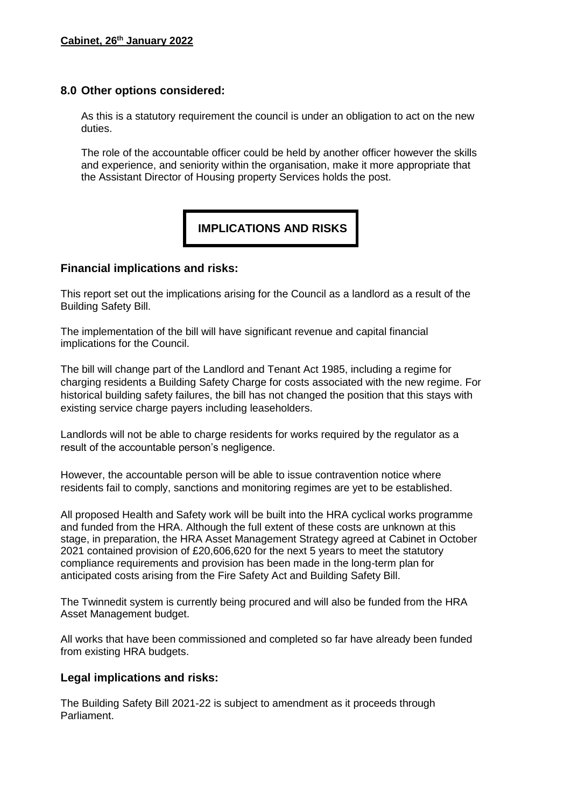#### **8.0 Other options considered:**

As this is a statutory requirement the council is under an obligation to act on the new duties.

The role of the accountable officer could be held by another officer however the skills and experience, and seniority within the organisation, make it more appropriate that the Assistant Director of Housing property Services holds the post.

**IMPLICATIONS AND RISKS**

#### **Financial implications and risks:**

This report set out the implications arising for the Council as a landlord as a result of the Building Safety Bill.

The implementation of the bill will have significant revenue and capital financial implications for the Council.

The bill will change part of the Landlord and Tenant Act 1985, including a regime for charging residents a Building Safety Charge for costs associated with the new regime. For historical building safety failures, the bill has not changed the position that this stays with existing service charge payers including leaseholders.

Landlords will not be able to charge residents for works required by the regulator as a result of the accountable person's negligence.

However, the accountable person will be able to issue contravention notice where residents fail to comply, sanctions and monitoring regimes are yet to be established.

All proposed Health and Safety work will be built into the HRA cyclical works programme and funded from the HRA. Although the full extent of these costs are unknown at this stage, in preparation, the HRA Asset Management Strategy agreed at Cabinet in October 2021 contained provision of £20,606,620 for the next 5 years to meet the statutory compliance requirements and provision has been made in the long-term plan for anticipated costs arising from the Fire Safety Act and Building Safety Bill.

The Twinnedit system is currently being procured and will also be funded from the HRA Asset Management budget.

All works that have been commissioned and completed so far have already been funded from existing HRA budgets.

#### **Legal implications and risks:**

The Building Safety Bill 2021-22 is subject to amendment as it proceeds through Parliament.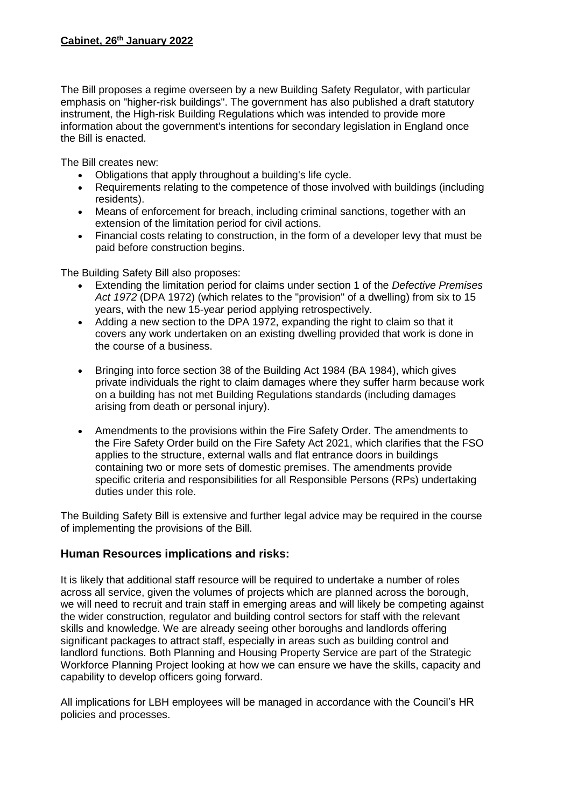#### **Cabinet, 26th January 2022**

The Bill proposes a regime overseen by a new Building Safety Regulator, with particular emphasis on "higher-risk buildings". The government has also published a draft statutory instrument, the High-risk Building Regulations which was intended to provide more information about the government's intentions for secondary legislation in England once the Bill is enacted.

The Bill creates new:

- Obligations that apply throughout a building's life cycle.
- Requirements relating to the competence of those involved with buildings (including residents).
- Means of enforcement for breach, including criminal sanctions, together with an extension of the limitation period for civil actions.
- Financial costs relating to construction, in the form of a developer levy that must be paid before construction begins.

The Building Safety Bill also proposes:

- Extending the limitation period for claims under section 1 of the *Defective Premises Act 1972* (DPA 1972) (which relates to the "provision" of a dwelling) from six to 15 years, with the new 15-year period applying retrospectively.
- Adding a new section to the DPA 1972, expanding the right to claim so that it covers any work undertaken on an existing dwelling provided that work is done in the course of a business.
- Bringing into force section 38 of the Building Act 1984 (BA 1984), which gives private individuals the right to claim damages where they suffer harm because work on a building has not met Building Regulations standards (including damages arising from death or personal injury).
- Amendments to the provisions within the Fire Safety Order. The amendments to the Fire Safety Order build on the Fire Safety Act 2021, which clarifies that the FSO applies to the structure, external walls and flat entrance doors in buildings containing two or more sets of domestic premises. The amendments provide specific criteria and responsibilities for all Responsible Persons (RPs) undertaking duties under this role.

The Building Safety Bill is extensive and further legal advice may be required in the course of implementing the provisions of the Bill.

## **Human Resources implications and risks:**

It is likely that additional staff resource will be required to undertake a number of roles across all service, given the volumes of projects which are planned across the borough, we will need to recruit and train staff in emerging areas and will likely be competing against the wider construction, regulator and building control sectors for staff with the relevant skills and knowledge. We are already seeing other boroughs and landlords offering significant packages to attract staff, especially in areas such as building control and landlord functions. Both Planning and Housing Property Service are part of the Strategic Workforce Planning Project looking at how we can ensure we have the skills, capacity and capability to develop officers going forward.

All implications for LBH employees will be managed in accordance with the Council's HR policies and processes.